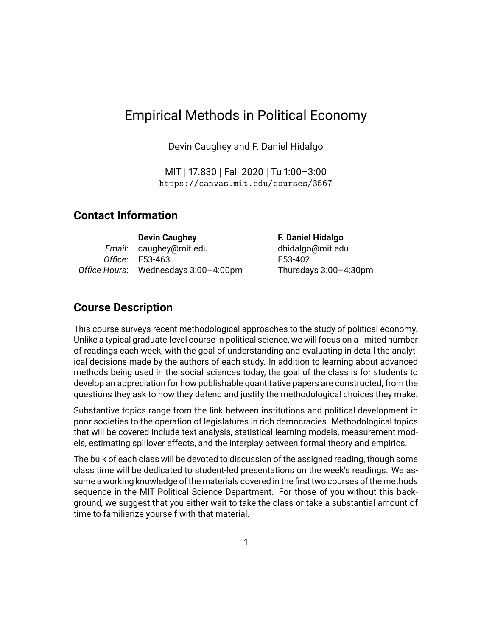## Empirical Methods in Political Economy

Devin Caughey and F. Daniel Hidalgo

MIT | 17.830 | Fall 2020 | Tu 1:00–3:00 <https://canvas.mit.edu/courses/3567>

#### **Contact Information**

| <b>Devin Caughey</b>                 |
|--------------------------------------|
| Email: caughey@mit.edu               |
| Office: E53-463                      |
| Office Hours: Wednesdays 3:00-4:00pm |

**F. Daniel Hidalgo** [dhidalgo@mit.edu](mailto:dhidalgo@mit.edu) E53-402 *Office Hours*: Wednesdays 3:00–4:00pm Thursdays 3:00–4:30pm

#### **Course Description**

This course surveys recent methodological approaches to the study of political economy. Unlike a typical graduate-level course in political science, we will focus on a limited number of readings each week, with the goal of understanding and evaluating in detail the analytical decisions made by the authors of each study. In addition to learning about advanced methods being used in the social sciences today, the goal of the class is for students to develop an appreciation for how publishable quantitative papers are constructed, from the questions they ask to how they defend and justify the methodological choices they make.

Substantive topics range from the link between institutions and political development in poor societies to the operation of legislatures in rich democracies. Methodological topics that will be covered include text analysis, statistical learning models, measurement models, estimating spillover effects, and the interplay between formal theory and empirics.

The bulk of each class will be devoted to discussion of the assigned reading, though some class time will be dedicated to student-led presentations on the week's readings. We assume a working knowledge of the materials covered in the first two courses of the methods sequence in the MIT Political Science Department. For those of you without this background, we suggest that you either wait to take the class or take a substantial amount of time to familiarize yourself with that material.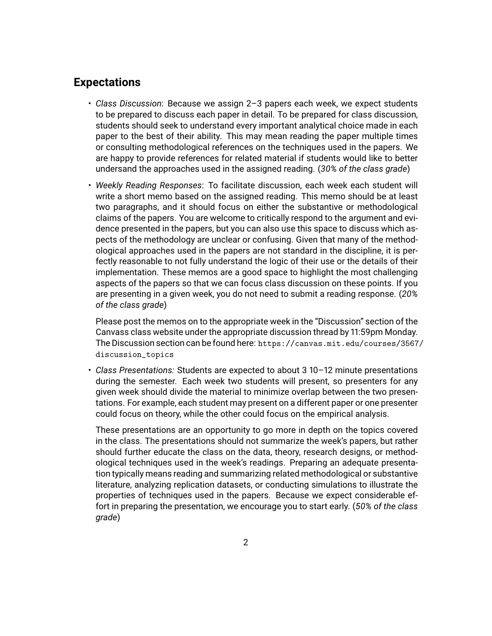#### **Expectations**

- *Class Discussion*: Because we assign 2–3 papers each week, we expect students to be prepared to discuss each paper in detail. To be prepared for class discussion, students should seek to understand every important analytical choice made in each paper to the best of their ability. This may mean reading the paper multiple times or consulting methodological references on the techniques used in the papers. We are happy to provide references for related material if students would like to better undersand the approaches used in the assigned reading. (*30% of the class grade*)
- *Weekly Reading Responses*: To facilitate discussion, each week each student will write a short memo based on the assigned reading. This memo should be at least two paragraphs, and it should focus on either the substantive or methodological claims of the papers. You are welcome to critically respond to the argument and evidence presented in the papers, but you can also use this space to discuss which aspects of the methodology are unclear or confusing. Given that many of the methodological approaches used in the papers are not standard in the discipline, it is perfectly reasonable to not fully understand the logic of their use or the details of their implementation. These memos are a good space to highlight the most challenging aspects of the papers so that we can focus class discussion on these points. If you are presenting in a given week, you do not need to submit a reading response. (*20% of the class grade*)

Please post the memos on to the appropriate week in the "Discussion" section of the Canvass class website under the appropriate discussion thread by 11:59pm Monday. The Discussion section can be found here: [https://canvas.mit.edu/courses/3567](https://canvas.mit.edu/courses/3567/discussion_topics)/ [discussion\\_topics](https://canvas.mit.edu/courses/3567/discussion_topics)

• *Class Presentations:* Students are expected to about 3 10–12 minute presentations during the semester. Each week two students will present, so presenters for any given week should divide the material to minimize overlap between the two presentations. For example, each student may present on a different paper or one presenter could focus on theory, while the other could focus on the empirical analysis.

These presentations are an opportunity to go more in depth on the topics covered in the class. The presentations should not summarize the week's papers, but rather should further educate the class on the data, theory, research designs, or methodological techniques used in the week's readings. Preparing an adequate presentation typically means reading and summarizing related methodological or substantive literature, analyzing replication datasets, or conducting simulations to illustrate the properties of techniques used in the papers. Because we expect considerable effort in preparing the presentation, we encourage you to start early. (*50% of the class grade*)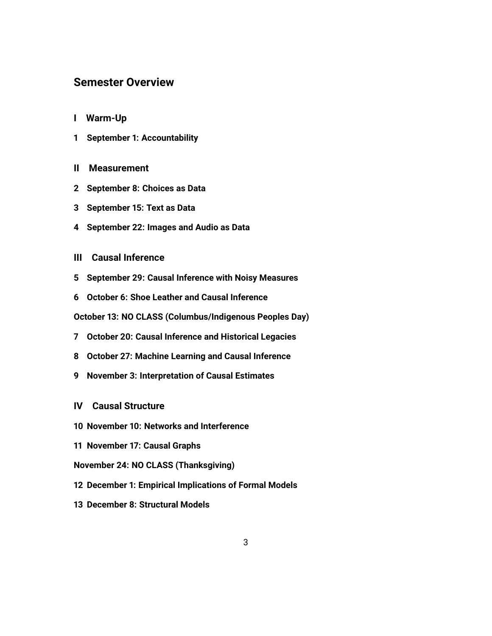#### **Semester Overview**

- **[I Warm-Up](#page-3-0)**
- **[1 September 1: Accountability](#page-3-1)**
- **[II Measurement](#page-3-2)**
- **[2 September 8: Choices as Data](#page-3-3)**
- **[3 September 15: Text as Data](#page-3-4)**
- **[4 September 22: Images and Audio as Data](#page-4-0)**
- **[III Causal Inference](#page-4-1)**
- **[5 September 29: Causal Inference with Noisy Measures](#page-4-2)**
- **[6 October 6: Shoe Leather and Causal Inference](#page-5-0)**

**[October 13: NO CLASS \(Columbus/Indigenous Peoples Day\)](#page-5-0)**

- **[7 October 20: Causal Inference and Historical Legacies](#page-5-1)**
- **[8 October 27: Machine Learning and Causal Inference](#page-5-2)**
- **[9 November 3: Interpretation of Causal Estimates](#page-5-3)**
- **[IV Causal Structure](#page-6-0)**
- **[10 November 10: Networks and Interference](#page-6-1)**
- **[11 November 17: Causal Graphs](#page-6-2)**
- **[November 24: NO CLASS \(Thanksgiving\)](#page-6-2)**
- **[12 December 1: Empirical Implications of Formal Models](#page-7-0)**
- **[13 December 8: Structural Models](#page-7-1)**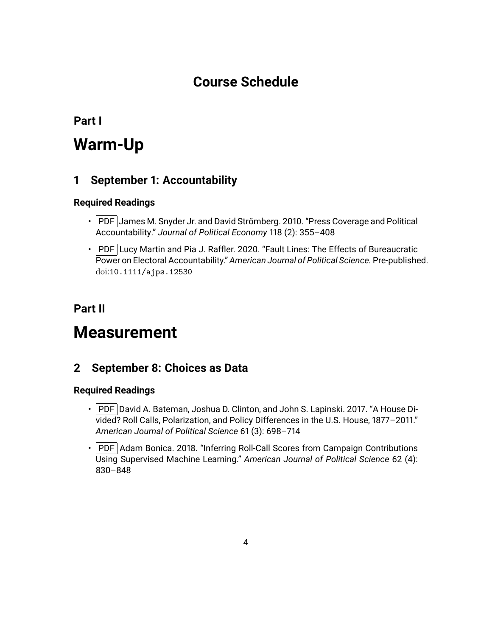## **Course Schedule**

<span id="page-3-0"></span>**Part I**

# **Warm-Up**

## <span id="page-3-1"></span>**1 September 1: Accountability**

#### **Required Readings**

- PDF James M. Snyder Jr. and David Strömberg. 2010. "Press Coverage and Political Accountability." *Journal of Political Economy* 118 (2): 355–408
- $\cdot$  PDF Lucy Martin and Pia J. Raffler. 2020. "Fault Lines: The Effects of Bureaucratic Power on Electoral Accountability." *American Journal of Political Science.* Pre-published. doi:[10.1111/ajps.12530](http://dx.doi.org/10.1111/ajps.12530)

## <span id="page-3-2"></span>**Part II**

## **Measurement**

## <span id="page-3-3"></span>**2 September 8: Choices as Data**

- PDF David A. Bateman, Joshua D. Clinton, and John S. Lapinski. 2017. "A House Divided? Roll Calls, Polarization, and Policy Differences in the U.S. House, 1877–2011." *American Journal of Political Science* 61 (3): 698–714
- <span id="page-3-4"></span>• PDF Adam Bonica. 2018. "Inferring Roll-Call Scores from Campaign Contributions Using Supervised Machine Learning." *American Journal of Political Science* 62 (4): 830–848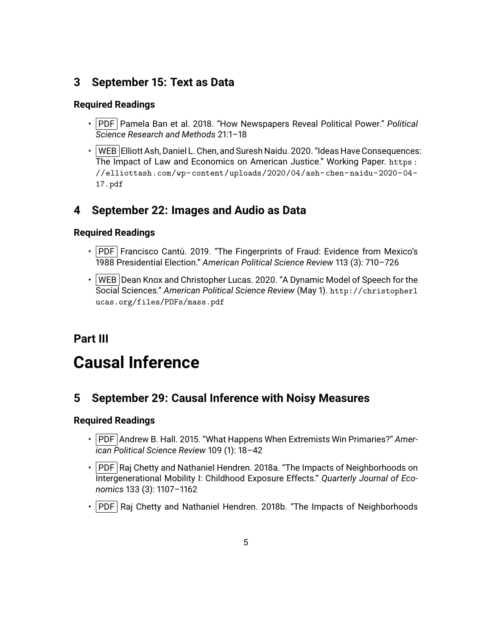## **3 September 15: Text as Data**

#### **Required Readings**

- PDF Pamela Ban et al. 2018. "How Newspapers Reveal Political Power." *Political Science Research and Methods* 21:1–18
- WEB Elliott Ash, Daniel L. Chen, and Suresh Naidu. 2020. "Ideas Have Consequences: The Impact of Law and Economics on American Justice." Working Paper. [https :](https://elliottash.com/wp-content/uploads/2020/04/ash-chen-naidu-2020-04-17.pdf) [//elliottash.com/wp-content/uploads/2020/04/ash-chen-naidu-2020-04-](https://elliottash.com/wp-content/uploads/2020/04/ash-chen-naidu-2020-04-17.pdf) [17.pdf](https://elliottash.com/wp-content/uploads/2020/04/ash-chen-naidu-2020-04-17.pdf)

## <span id="page-4-0"></span>**4 September 22: Images and Audio as Data**

#### **Required Readings**

- $\cdot$  PDF Francisco Cantú. 2019. "The Fingerprints of Fraud: Evidence from Mexico's 1988 Presidential Election." *American Political Science Review* 113 (3): 710–726
- $\cdot$  | WEB | Dean Knox and Christopher Lucas. 2020. "A Dynamic Model of Speech for the Social Sciences." *American Political Science Review* (May 1). [http://christopherl](http://christopherlucas.org/files/PDFs/mass.pdf) [ucas.org/files/PDFs/mass.pdf](http://christopherlucas.org/files/PDFs/mass.pdf)

## <span id="page-4-1"></span>**Part III**

# **Causal Inference**

## <span id="page-4-2"></span>**5 September 29: Causal Inference with Noisy Measures**

- PDF Andrew B. Hall. 2015. "What Happens When Extremists Win Primaries?" Amer*ican Political Science Review* 109 (1): 18–42
- PDF Raj Chetty and Nathaniel Hendren. 2018a. "The Impacts of Neighborhoods on Intergenerational Mobility I: Childhood Exposure Effects." *Quarterly Journal of Economics* 133 (3): 1107–1162
- $\cdot$  PDF Raj Chetty and Nathaniel Hendren. 2018b. "The Impacts of Neighborhoods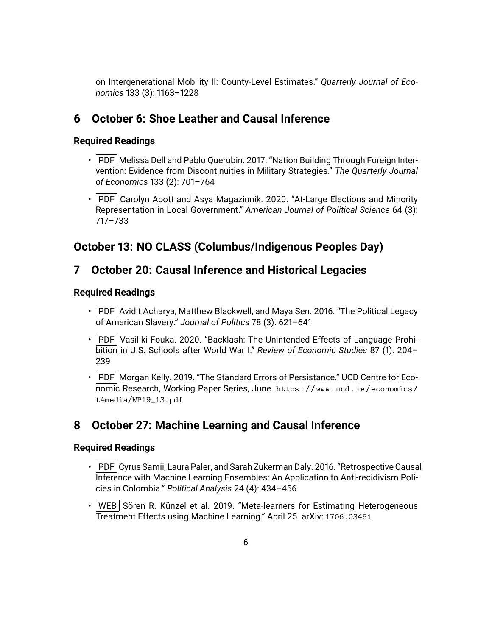on Intergenerational Mobility II: County-Level Estimates." *Quarterly Journal of Economics* 133 (3): 1163–1228

## <span id="page-5-0"></span>**6 October 6: Shoe Leather and Causal Inference**

#### **Required Readings**

- PDF Melissa Dell and Pablo Querubin. 2017. "Nation Building Through Foreign Intervention: Evidence from Discontinuities in Military Strategies." *The Quarterly Journal of Economics* 133 (2): 701–764
- $\cdot$  PDF Carolyn Abott and Asya Magazinnik. 2020. "At-Large Elections and Minority Representation in Local Government." *American Journal of Political Science* 64 (3): 717–733

## **October 13: NO CLASS (Columbus/Indigenous Peoples Day)**

## <span id="page-5-1"></span>**7 October 20: Causal Inference and Historical Legacies**

#### **Required Readings**

- PDF Avidit Acharya, Matthew Blackwell, and Maya Sen. 2016. "The Political Legacy of American Slavery." *Journal of Politics* 78 (3): 621–641
- PDF Vasiliki Fouka. 2020. "Backlash: The Unintended Effects of Language Prohibition in U.S. Schools after World War I." *Review of Economic Studies* 87 (1): 204– 239
- PDF Morgan Kelly. 2019. "The Standard Errors of Persistance." UCD Centre for Economic Research, Working Paper Series, June. [https://www.ucd.ie/economics/](https://www.ucd.ie/economics/t4media/WP19_13.pdf) [t4media/WP19\\_13.pdf](https://www.ucd.ie/economics/t4media/WP19_13.pdf)

## <span id="page-5-2"></span>**8 October 27: Machine Learning and Causal Inference**

- PDF Cyrus Samii, Laura Paler, and Sarah Zukerman Daly. 2016. "Retrospective Causal Inference with Machine Learning Ensembles: An Application to Anti-recidivism Policies in Colombia." *Political Analysis* 24 (4): 434–456
- <span id="page-5-3"></span> $\cdot$  WEB Soren R. Künzel et al. 2019. "Meta-learners for Estimating Heterogeneous Treatment Effects using Machine Learning." April 25. arXiv: [1706.03461](https://arxiv.org/abs/1706.03461)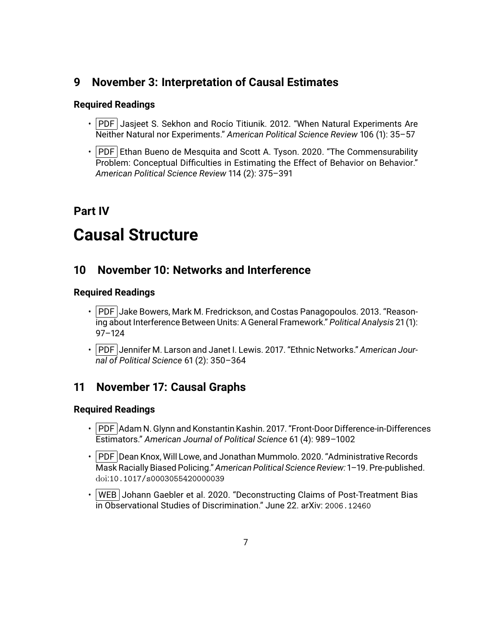## **9 November 3: Interpretation of Causal Estimates**

#### **Required Readings**

- $\cdot$  PDF Jasjeet S. Sekhon and Rocio Titiunik. 2012. "When Natural Experiments Are Neither Natural nor Experiments." *American Political Science Review* 106 (1): 35–57
- $\cdot$  PDF Ethan Bueno de Mesquita and Scott A. Tyson. 2020. "The Commensurability Problem: Conceptual Difficulties in Estimating the Effect of Behavior on Behavior." *American Political Science Review* 114 (2): 375–391

## <span id="page-6-0"></span>**Part IV**

# **Causal Structure**

## <span id="page-6-1"></span>**10 November 10: Networks and Interference**

#### **Required Readings**

- PDF Jake Bowers, Mark M. Fredrickson, and Costas Panagopoulos. 2013. "Reasoning about Interference Between Units: A General Framework." *Political Analysis* 21 (1): 97–124
- PDF Jennifer M. Larson and Janet I. Lewis. 2017. "Ethnic Networks." *American Journal of Political Science* 61 (2): 350–364

## <span id="page-6-2"></span>**11 November 17: Causal Graphs**

- PDF Adam N. Glynn and Konstantin Kashin. 2017. "Front-Door Difference-in-Differences Estimators." *American Journal of Political Science* 61 (4): 989–1002
- $\cdot$  PDF Dean Knox, Will Lowe, and Jonathan Mummolo. 2020. "Administrative Records Mask Racially Biased Policing." *American Political Science Review:* 1–19. Pre-published. doi:[10.1017/s0003055420000039](http://dx.doi.org/10.1017/s0003055420000039)
- WEB Johann Gaebler et al. 2020. "Deconstructing Claims of Post-Treatment Bias in Observational Studies of Discrimination." June 22. arXiv: [2006.12460](https://arxiv.org/abs/2006.12460)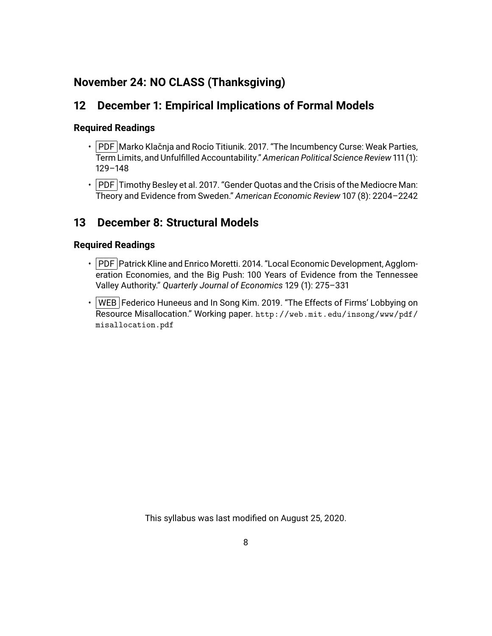## **November 24: NO CLASS (Thanksgiving)**

## <span id="page-7-0"></span>**12 December 1: Empirical Implications of Formal Models**

#### **Required Readings**

- $\cdot$  PDF Marko Klačnja and Rocio Titiunik. 2017. "The Incumbency Curse: Weak Parties, Term Limits, and Unfulfilled Accountability." *American Political Science Review* 111 (1): 129–148
- $\cdot$  PDF Timothy Besley et al. 2017. "Gender Quotas and the Crisis of the Mediocre Man: Theory and Evidence from Sweden." *American Economic Review* 107 (8): 2204–2242

## <span id="page-7-1"></span>**13 December 8: Structural Models**

#### **Required Readings**

- PDF Patrick Kline and Enrico Moretti. 2014. "Local Economic Development, Agglomeration Economies, and the Big Push: 100 Years of Evidence from the Tennessee Valley Authority." *Quarterly Journal of Economics* 129 (1): 275–331
- WEB Federico Huneeus and In Song Kim. 2019. "The Effects of Firms' Lobbying on Resource Misallocation." Working paper. [http://web.mit.edu/insong/www/pdf/](http://web.mit.edu/insong/www/pdf/misallocation.pdf) [misallocation.pdf](http://web.mit.edu/insong/www/pdf/misallocation.pdf)

This syllabus was last modified on August 25, 2020.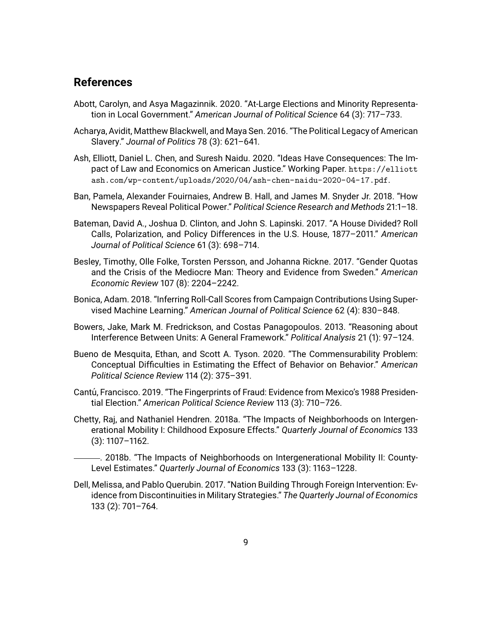#### **References**

- Abott, Carolyn, and Asya Magazinnik. 2020. "At-Large Elections and Minority Representation in Local Government." *American Journal of Political Science* 64 (3): 717–733.
- Acharya, Avidit, Matthew Blackwell, and Maya Sen. 2016. "The Political Legacy of American Slavery." *Journal of Politics* 78 (3): 621–641.
- Ash, Elliott, Daniel L. Chen, and Suresh Naidu. 2020. "Ideas Have Consequences: The Impact of Law and Economics on American Justice." Working Paper. [https://elliott](https://elliottash.com/wp-content/uploads/2020/04/ash-chen-naidu-2020-04-17.pdf) [ash.com/wp-content/uploads/2020/04/ash-chen-naidu-2020-04-17.pdf](https://elliottash.com/wp-content/uploads/2020/04/ash-chen-naidu-2020-04-17.pdf).
- Ban, Pamela, Alexander Fouirnaies, Andrew B. Hall, and James M. Snyder Jr. 2018. "How Newspapers Reveal Political Power." *Political Science Research and Methods* 21:1–18.
- Bateman, David A., Joshua D. Clinton, and John S. Lapinski. 2017. "A House Divided? Roll Calls, Polarization, and Policy Differences in the U.S. House, 1877–2011." *American Journal of Political Science* 61 (3): 698–714.
- Besley, Timothy, Olle Folke, Torsten Persson, and Johanna Rickne. 2017. "Gender Quotas and the Crisis of the Mediocre Man: Theory and Evidence from Sweden." *American Economic Review* 107 (8): 2204–2242.
- Bonica, Adam. 2018. "Inferring Roll-Call Scores from Campaign Contributions Using Supervised Machine Learning." *American Journal of Political Science* 62 (4): 830–848.
- Bowers, Jake, Mark M. Fredrickson, and Costas Panagopoulos. 2013. "Reasoning about Interference Between Units: A General Framework." *Political Analysis* 21 (1): 97–124.
- Bueno de Mesquita, Ethan, and Scott A. Tyson. 2020. "The Commensurability Problem: Conceptual Difficulties in Estimating the Effect of Behavior on Behavior." *American Political Science Review* 114 (2): 375–391.
- Cantú, Francisco. 2019. "The Fingerprints of Fraud: Evidence from Mexico's 1988 Presidential Election." *American Political Science Review* 113 (3): 710–726.
- Chetty, Raj, and Nathaniel Hendren. 2018a. "The Impacts of Neighborhoods on Intergenerational Mobility I: Childhood Exposure Effects." *Quarterly Journal of Economics* 133 (3): 1107–1162.
	- . 2018b. "The Impacts of Neighborhoods on Intergenerational Mobility II: County-Level Estimates." *Quarterly Journal of Economics* 133 (3): 1163–1228.
- Dell, Melissa, and Pablo Querubin. 2017. "Nation Building Through Foreign Intervention: Evidence from Discontinuities in Military Strategies." *The Quarterly Journal of Economics* 133 (2): 701–764.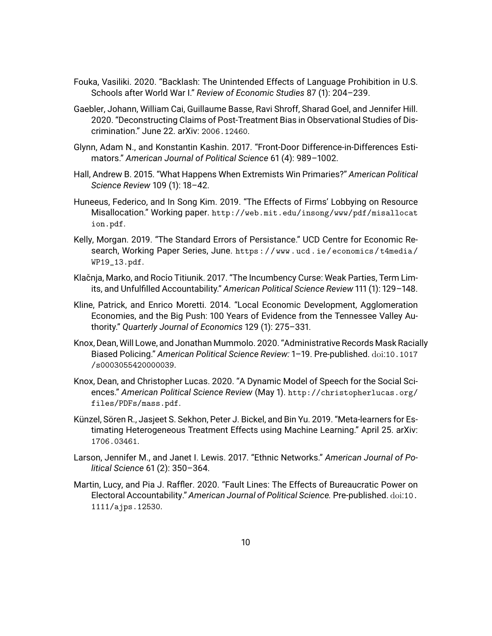- Fouka, Vasiliki. 2020. "Backlash: The Unintended Effects of Language Prohibition in U.S. Schools after World War I." *Review of Economic Studies* 87 (1): 204–239.
- Gaebler, Johann, William Cai, Guillaume Basse, Ravi Shroff, Sharad Goel, and Jennifer Hill. 2020. "Deconstructing Claims of Post-Treatment Bias in Observational Studies of Discrimination." June 22. arXiv: [2006.12460](https://arxiv.org/abs/2006.12460).
- Glynn, Adam N., and Konstantin Kashin. 2017. "Front-Door Difference-in-Differences Estimators." *American Journal of Political Science* 61 (4): 989–1002.
- Hall, Andrew B. 2015. "What Happens When Extremists Win Primaries?" *American Political Science Review* 109 (1): 18–42.
- Huneeus, Federico, and In Song Kim. 2019. "The Effects of Firms' Lobbying on Resource Misallocation." Working paper. [http://web.mit.edu/insong/www/pdf/misallocat](http://web.mit.edu/insong/www/pdf/misallocation.pdf) [ion.pdf](http://web.mit.edu/insong/www/pdf/misallocation.pdf).
- Kelly, Morgan. 2019. "The Standard Errors of Persistance." UCD Centre for Economic Research, Working Paper Series, June. [https : / / www . ucd . ie / economics / t4media /](https://www.ucd.ie/economics/t4media/WP19_13.pdf) [WP19\\_13.pdf](https://www.ucd.ie/economics/t4media/WP19_13.pdf).
- Klačnja, Marko, and Rocío Titiunik. 2017. "The Incumbency Curse: Weak Parties, Term Limits, and Unfulfilled Accountability." *American Political Science Review* 111 (1): 129–148.
- Kline, Patrick, and Enrico Moretti. 2014. "Local Economic Development, Agglomeration Economies, and the Big Push: 100 Years of Evidence from the Tennessee Valley Authority." *Quarterly Journal of Economics* 129 (1): 275–331.
- Knox, Dean, Will Lowe, and Jonathan Mummolo. 2020. "Administrative Records Mask Racially Biased Policing." *American Political Science Review:* 1–19. Pre-published. doi:[10.1017](http://dx.doi.org/10.1017/s0003055420000039) [/s0003055420000039](http://dx.doi.org/10.1017/s0003055420000039).
- Knox, Dean, and Christopher Lucas. 2020. "A Dynamic Model of Speech for the Social Sciences." *American Political Science Review* (May 1). [http://christopherlucas.org/](http://christopherlucas.org/files/PDFs/mass.pdf) [files/PDFs/mass.pdf](http://christopherlucas.org/files/PDFs/mass.pdf).
- Künzel, Sören R., Jasjeet S. Sekhon, Peter J. Bickel, and Bin Yu. 2019. "Meta-learners for Estimating Heterogeneous Treatment Effects using Machine Learning." April 25. arXiv: [1706.03461](https://arxiv.org/abs/1706.03461).
- Larson, Jennifer M., and Janet I. Lewis. 2017. "Ethnic Networks." *American Journal of Political Science* 61 (2): 350–364.
- Martin, Lucy, and Pia J. Raffler. 2020. "Fault Lines: The Effects of Bureaucratic Power on Electoral Accountability." *American Journal of Political Science.* Pre-published. doi:[10.](http://dx.doi.org/10.1111/ajps.12530) [1111/ajps.12530](http://dx.doi.org/10.1111/ajps.12530).